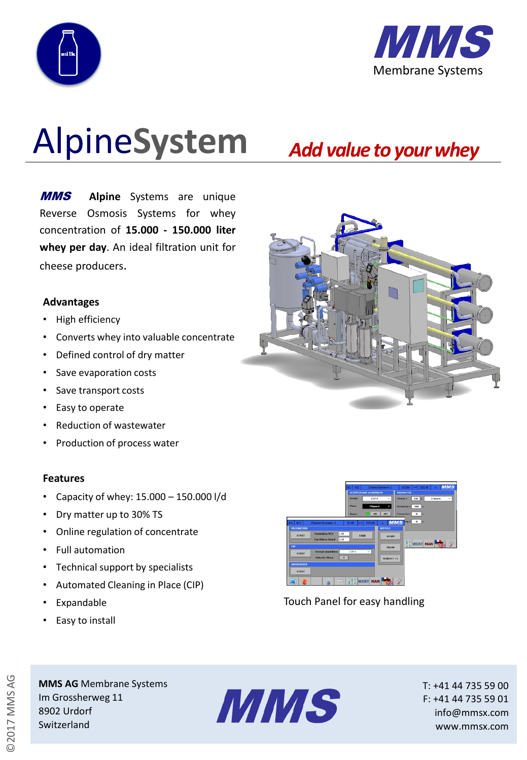



# Alpine**System**

## *Add value to yourwhey*

MMS **Alpine** Systems are unique Reverse Osmosis Systems for whey concentration of **15.000 - 150.000 liter whey per day**. An ideal filtration unit for cheese producers.

#### **Advantages**

- High efficiency
- Converts whey into valuable concentrate
- Defined control of dry matter
- Save evaporation costs
- Save transport costs
- Easy to operate
- Reduction of wastewater
- Production of process water

#### **Features**

- Capacity of whey: 15.000 150.000 l/d
- Dry matter up to 30% TS
- Online regulation of concentrate
- Full automation
- Technical support by specialists
- Automated Cleaning in Place (CIP)
- **Expandable**
- Easy to install



Touch Panel for easy handling

**MMS AG** Membrane Systems Im Grossherweg 11 8902 Urdorf Switzerland



T: +41 44 735 59 00 F: +41 44 735 59 01 info@mmsx.com www.mmsx.com